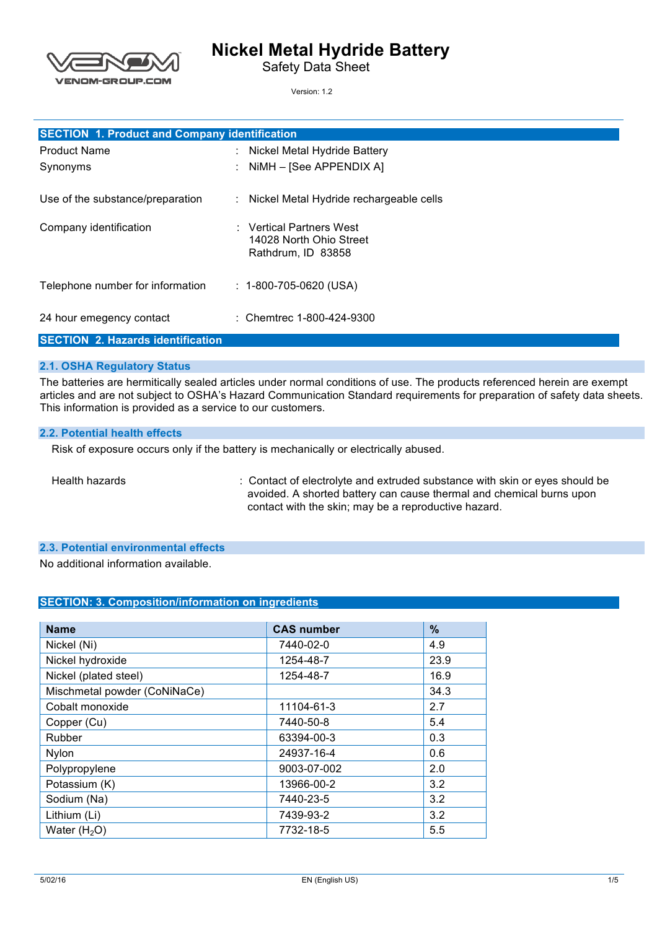

# **Nickel Metal Hydride Battery**

Safety Data Sheet

Version: 1.2

| <b>SECTION 1. Product and Company identification</b> |  |                                                     |
|------------------------------------------------------|--|-----------------------------------------------------|
| <b>Product Name</b>                                  |  | : Nickel Metal Hydride Battery                      |
| Synonyms                                             |  | : $NIMH - [See APPENDIX A]$                         |
| Use of the substance/preparation                     |  | : Nickel Metal Hydride rechargeable cells           |
| Company identification                               |  | : Vertical Partners West<br>14028 North Ohio Street |
|                                                      |  | Rathdrum, ID 83858                                  |
| Telephone number for information                     |  | $: 1-800-705-0620$ (USA)                            |
| 24 hour emegency contact                             |  | : Chemtrec $1-800-424-9300$                         |

#### **SECTION 2. Hazards identification**

### **2.1. OSHA Regulatory Status**

 The batteries are hermitically sealed articles under normal conditions of use. The products referenced herein are exempt articles and are not subject to OSHA's Hazard Communication Standard requirements for preparation of safety data sheets. This information is provided as a service to our customers.

#### **2.2. Potential health effects**

Risk of exposure occurs only if the battery is mechanically or electrically abused.

Health hazards

 avoided. A shorted battery can cause thermal and chemical burns upon contact with the skin; may be a reproductive hazard. : Contact of electrolyte and extruded substance with skin or eyes should be

#### **2.3. Potential environmental effects**

No additional information available.

#### **SECTION: 3. Composition/information on ingredients**

| <b>Name</b>                  | <b>CAS number</b> | $\%$ |
|------------------------------|-------------------|------|
| Nickel (Ni)                  | 7440-02-0         | 4.9  |
| Nickel hydroxide             | 1254-48-7         | 23.9 |
| Nickel (plated steel)        | 1254-48-7         | 16.9 |
| Mischmetal powder (CoNiNaCe) |                   | 34.3 |
| Cobalt monoxide              | 11104-61-3        | 2.7  |
| Copper (Cu)                  | 7440-50-8         | 5.4  |
| Rubber                       | 63394-00-3        | 0.3  |
| Nylon                        | 24937-16-4        | 0.6  |
| Polypropylene                | 9003-07-002       | 2.0  |
| Potassium (K)                | 13966-00-2        | 3.2  |
| Sodium (Na)                  | 7440-23-5         | 3.2  |
| Lithium (Li)                 | 7439-93-2         | 3.2  |
| Water $(H2O)$                | 7732-18-5         | 5.5  |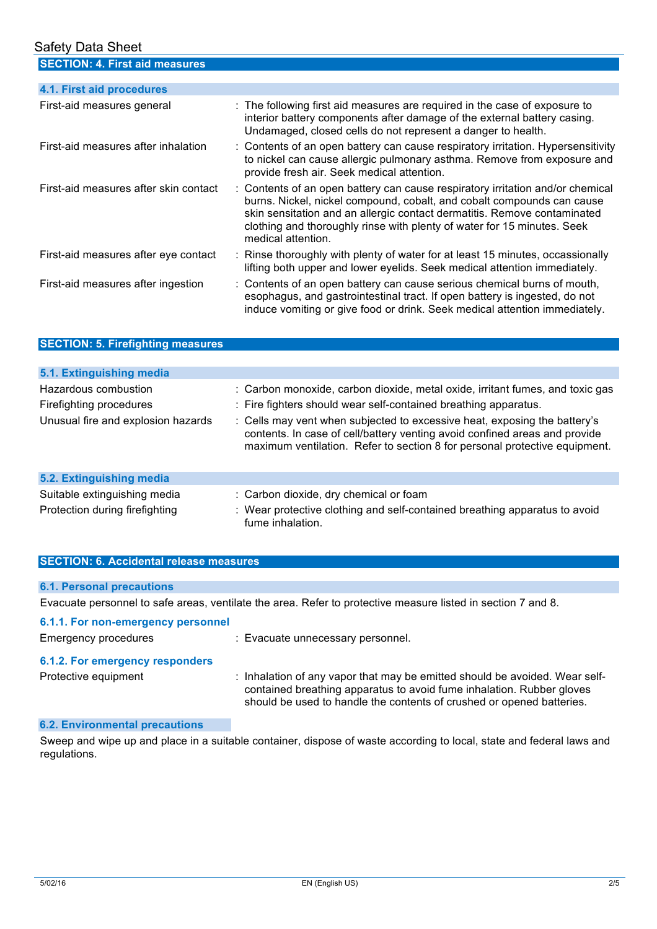| <b>Safety Data Sheet</b>                 |                                                                                                                                                                                                                                                                                                                                       |
|------------------------------------------|---------------------------------------------------------------------------------------------------------------------------------------------------------------------------------------------------------------------------------------------------------------------------------------------------------------------------------------|
| <b>SECTION: 4. First aid measures</b>    |                                                                                                                                                                                                                                                                                                                                       |
| 4.1. First aid procedures                |                                                                                                                                                                                                                                                                                                                                       |
|                                          |                                                                                                                                                                                                                                                                                                                                       |
| First-aid measures general               | : The following first aid measures are required in the case of exposure to<br>interior battery components after damage of the external battery casing.<br>Undamaged, closed cells do not represent a danger to health.                                                                                                                |
| First-aid measures after inhalation      | : Contents of an open battery can cause respiratory irritation. Hypersensitivity<br>to nickel can cause allergic pulmonary asthma. Remove from exposure and<br>provide fresh air. Seek medical attention.                                                                                                                             |
| First-aid measures after skin contact    | : Contents of an open battery can cause respiratory irritation and/or chemical<br>burns. Nickel, nickel compound, cobalt, and cobalt compounds can cause<br>skin sensitation and an allergic contact dermatitis. Remove contaminated<br>clothing and thoroughly rinse with plenty of water for 15 minutes. Seek<br>medical attention. |
| First-aid measures after eye contact     | : Rinse thoroughly with plenty of water for at least 15 minutes, occassionally<br>lifting both upper and lower eyelids. Seek medical attention immediately.                                                                                                                                                                           |
| 南方 ふまいよう オール・ショット しょうしょう 自分 いきょう しょうせんしょ | $\bigcap$ and a set of the second contract of the second second second second second second the second second second second second second second second second second second second second second second second second second sec                                                                                                     |

First-aid measures after ingestion esophagus, and gastrointestinal tract. If open battery is ingested, do not induce vomiting or give food or drink. Seek medical attention immediately. : Contents of an open battery can cause serious chemical burns of mouth,

### **SECTION: 5. Firefighting measures**

| 5.1. Extinguishing media                        |                                                                                                                                                                                                                                       |
|-------------------------------------------------|---------------------------------------------------------------------------------------------------------------------------------------------------------------------------------------------------------------------------------------|
| Hazardous combustion<br>Firefighting procedures | : Carbon monoxide, carbon dioxide, metal oxide, irritant fumes, and toxic gas<br>: Fire fighters should wear self-contained breathing apparatus.                                                                                      |
| Unusual fire and explosion hazards              | : Cells may vent when subjected to excessive heat, exposing the battery's<br>contents. In case of cell/battery venting avoid confined areas and provide<br>maximum ventilation. Refer to section 8 for personal protective equipment. |
| 5.2. Extinguishing media                        |                                                                                                                                                                                                                                       |
| Suitable extinguishing media                    | : Carbon dioxide, dry chemical or foam                                                                                                                                                                                                |
| Protection during firefighting                  | : Wear protective clothing and self-contained breathing apparatus to avoid<br>fume inhalation.                                                                                                                                        |

#### **SECTION: 6. Accidental release measures**

#### **6.1. Personal precautions**

Evacuate personnel to safe areas, ventilate the area. Refer to protective measure listed in section 7 and 8.

| 6.1.1. For non-emergency personnel<br>Emergency procedures | : Evacuate unnecessary personnel.                                                                                                                                                                                             |
|------------------------------------------------------------|-------------------------------------------------------------------------------------------------------------------------------------------------------------------------------------------------------------------------------|
| 6.1.2. For emergency responders<br>Protective equipment    | : Inhalation of any vapor that may be emitted should be avoided. Wear self-<br>contained breathing apparatus to avoid fume inhalation. Rubber gloves<br>should be used to handle the contents of crushed or opened batteries. |

### **6.2. Environmental precautions**

 Sweep and wipe up and place in a suitable container, dispose of waste according to local, state and federal laws and regulations.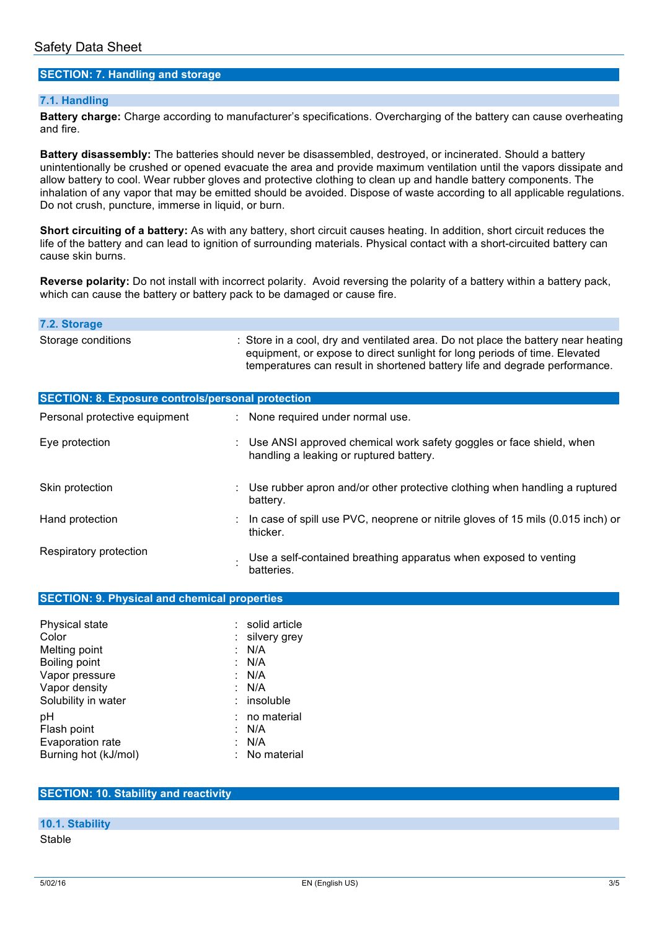#### **SECTION: 7. Handling and storage**

#### **7.1. Handling**

 **Battery charge:** Charge according to manufacturer's specifications. Overcharging of the battery can cause overheating and fire.

 **Battery disassembly:** The batteries should never be disassembled, destroyed, or incinerated. Should a battery unintentionally be crushed or opened evacuate the area and provide maximum ventilation until the vapors dissipate and allow battery to cool. Wear rubber gloves and protective clothing to clean up and handle battery components. The inhalation of any vapor that may be emitted should be avoided. Dispose of waste according to all applicable regulations. Do not crush, puncture, immerse in liquid, or burn.

 **Short circuiting of a battery:** As with any battery, short circuit causes heating. In addition, short circuit reduces the life of the battery and can lead to ignition of surrounding materials. Physical contact with a short-circuited battery can cause skin burns.

 **Reverse polarity:** Do not install with incorrect polarity. Avoid reversing the polarity of a battery within a battery pack, which can cause the battery or battery pack to be damaged or cause fire.

| 7.2. Storage                                             |                                                                                                                                                                                                                                               |
|----------------------------------------------------------|-----------------------------------------------------------------------------------------------------------------------------------------------------------------------------------------------------------------------------------------------|
| Storage conditions                                       | : Store in a cool, dry and ventilated area. Do not place the battery near heating<br>equipment, or expose to direct sunlight for long periods of time. Elevated<br>temperatures can result in shortened battery life and degrade performance. |
| <b>SECTION: 8. Exposure controls/personal protection</b> |                                                                                                                                                                                                                                               |
| Personal protective equipment                            | : None required under normal use.                                                                                                                                                                                                             |
| Eye protection                                           | : Use ANSI approved chemical work safety goggles or face shield, when<br>handling a leaking or ruptured battery.                                                                                                                              |
| Skin protection                                          | $\therefore$ Use rubber apron and/or other protective clothing when handling a ruptured<br>battery.                                                                                                                                           |
| Hand protection                                          | : In case of spill use PVC, neoprene or nitrile gloves of 15 mils (0.015 inch) or<br>thicker.                                                                                                                                                 |
| Respiratory protection                                   | Use a self-contained breathing apparatus when exposed to venting<br>batteries.                                                                                                                                                                |

| Physical state       | : solid article |
|----------------------|-----------------|
| Color                | : silvery grey  |
| Melting point        | N/A             |
| Boiling point        | : N/A           |
| Vapor pressure       | N/A             |
| Vapor density        | N/A             |
| Solubility in water  | $:$ insoluble   |
| рH                   | no material     |
| Flash point          | N/A             |
| Evaporation rate     | N/A             |
| Burning hot (kJ/mol) | : No material   |

#### **SECTION: 10. Stability and reactivity**

#### **10.1. Stability**

Stable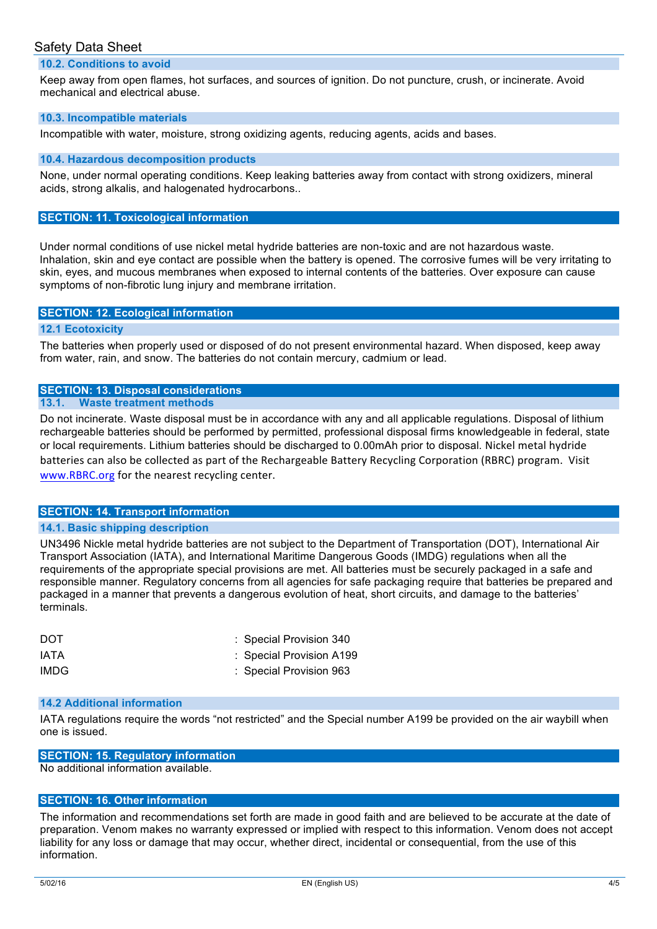### Safety Data Sheet

#### **10.2. Conditions to avoid**

 Keep away from open flames, hot surfaces, and sources of ignition. Do not puncture, crush, or incinerate. Avoid mechanical and electrical abuse.

#### **10.3. Incompatible materials**

Incompatible with water, moisture, strong oxidizing agents, reducing agents, acids and bases.

#### **10.4. Hazardous decomposition products**

 None, under normal operating conditions. Keep leaking batteries away from contact with strong oxidizers, mineral acids, strong alkalis, and halogenated hydrocarbons..

#### **SECTION: 11. Toxicological information**

 Under normal conditions of use nickel metal hydride batteries are non-toxic and are not hazardous waste. Inhalation, skin and eye contact are possible when the battery is opened. The corrosive fumes will be very irritating to skin, eyes, and mucous membranes when exposed to internal contents of the batteries. Over exposure can cause symptoms of non-fibrotic lung injury and membrane irritation.

#### **SECTION: 12. Ecological information**

#### **12.1 Ecotoxicity**

 The batteries when properly used or disposed of do not present environmental hazard. When disposed, keep away from water, rain, and snow. The batteries do not contain mercury, cadmium or lead.

### **SECTION: 13. Disposal considerations**

#### **13.1. Waste treatment methods**

 Do not incinerate. Waste disposal must be in accordance with any and all applicable regulations. Disposal of lithium rechargeable batteries should be performed by permitted, professional disposal firms knowledgeable in federal, state or local requirements. Lithium batteries should be discharged to 0.00mAh prior to disposal. Nickel metal hydride batteries can also be collected as part of the Rechargeable Battery Recycling Corporation (RBRC) program. Visit www.RBRC.org for the nearest recycling center.

#### **SECTION: 14. Transport information**

#### **14.1. Basic shipping description**

 UN3496 Nickle metal hydride batteries are not subject to the Department of Transportation (DOT), International Air Transport Association (IATA), and International Maritime Dangerous Goods (IMDG) regulations when all the requirements of the appropriate special provisions are met. All batteries must be securely packaged in a safe and responsible manner. Regulatory concerns from all agencies for safe packaging require that batteries be prepared and packaged in a manner that prevents a dangerous evolution of heat, short circuits, and damage to the batteries' terminals.

| <b>DOT</b> | : Special Provision 340  |
|------------|--------------------------|
| IATA       | : Special Provision A199 |
| IMDG.      | : Special Provision 963  |

#### **14.2 Additional information**

 IATA regulations require the words "not restricted" and the Special number A199 be provided on the air waybill when one is issued.

### **SECTION: 15. Regulatory information**

No additional information available.

#### **SECTION: 16. Other information**

 The information and recommendations set forth are made in good faith and are believed to be accurate at the date of preparation. Venom makes no warranty expressed or implied with respect to this information. Venom does not accept liability for any loss or damage that may occur, whether direct, incidental or consequential, from the use of this information.